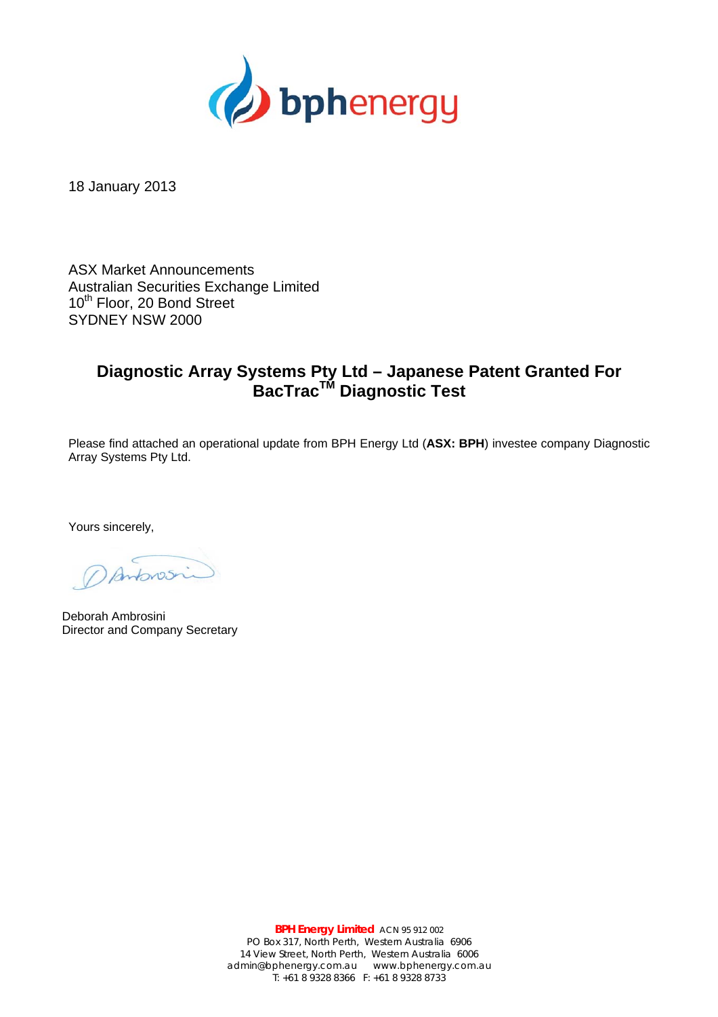

18 January 2013

ASX Market Announcements Australian Securities Exchange Limited 10<sup>th</sup> Floor, 20 Bond Street SYDNEY NSW 2000

## **Diagnostic Array Systems Pty Ltd – Japanese Patent Granted For BacTracTM Diagnostic Test**

Please find attached an operational update from BPH Energy Ltd (**ASX: BPH**) investee company Diagnostic Array Systems Pty Ltd.

Yours sincerely,

Antonsin

Deborah Ambrosini Director and Company Secretary